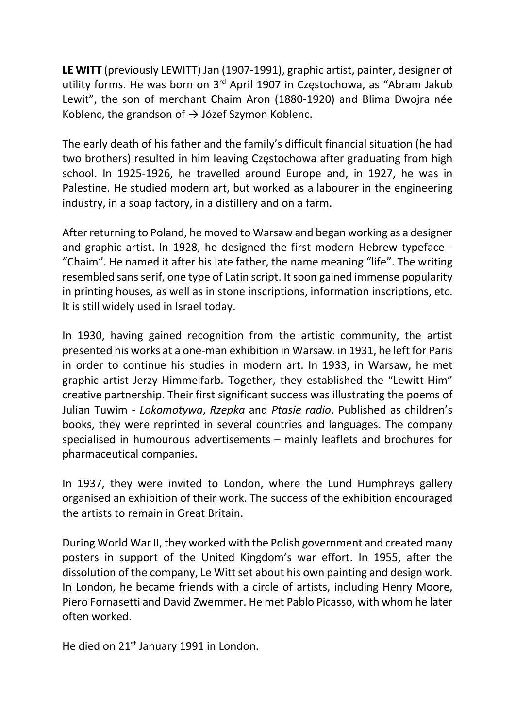LE WITT (previously LEWITT) Jan (1907-1991), graphic artist, painter, designer of utility forms. He was born on 3<sup>rd</sup> April 1907 in Częstochowa, as "Abram Jakub Lewit", the son of merchant Chaim Aron (1880-1920) and Blima Dwojra née Koblenc, the grandson of  $\rightarrow$  Józef Szymon Koblenc.

The early death of his father and the family's difficult financial situation (he had two brothers) resulted in him leaving Częstochowa after graduating from high school. In 1925-1926, he travelled around Europe and, in 1927, he was in Palestine. He studied modern art, but worked as a labourer in the engineering industry, in a soap factory, in a distillery and on a farm.

After returning to Poland, he moved to Warsaw and began working as a designer and graphic artist. In 1928, he designed the first modern Hebrew typeface - "Chaim". He named it after his late father, the name meaning "life". The writing resembled sans serif, one type of Latin script. It soon gained immense popularity in printing houses, as well as in stone inscriptions, information inscriptions, etc. It is still widely used in Israel today.

In 1930, having gained recognition from the artistic community, the artist presented his works at a one-man exhibition in Warsaw. in 1931, he left for Paris in order to continue his studies in modern art. In 1933, in Warsaw, he met graphic artist Jerzy Himmelfarb. Together, they established the "Lewitt-Him" creative partnership. Their first significant success was illustrating the poems of Julian Tuwim - Lokomotywa, Rzepka and Ptasie radio. Published as children's books, they were reprinted in several countries and languages. The company specialised in humourous advertisements – mainly leaflets and brochures for pharmaceutical companies.

In 1937, they were invited to London, where the Lund Humphreys gallery organised an exhibition of their work. The success of the exhibition encouraged the artists to remain in Great Britain.

During World War II, they worked with the Polish government and created many posters in support of the United Kingdom's war effort. In 1955, after the dissolution of the company, Le Witt set about his own painting and design work. In London, he became friends with a circle of artists, including Henry Moore, Piero Fornasetti and David Zwemmer. He met Pablo Picasso, with whom he later often worked.

He died on 21<sup>st</sup> January 1991 in London.